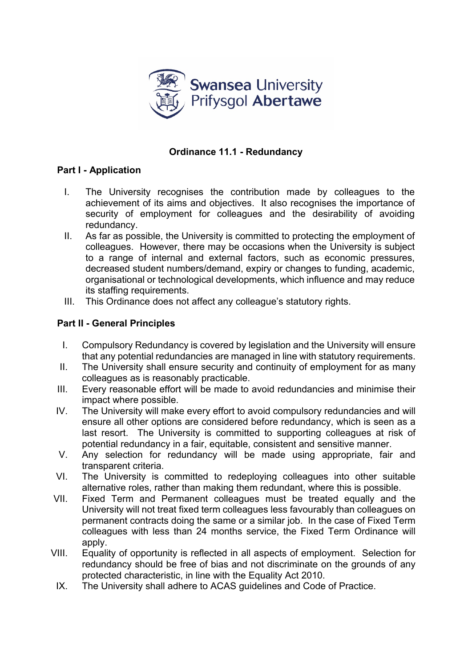

## **Ordinance 11.1 - Redundancy**

## **Part I - Application**

- I. The University recognises the contribution made by colleagues to the achievement of its aims and objectives. It also recognises the importance of security of employment for colleagues and the desirability of avoiding redundancy.
- II. As far as possible, the University is committed to protecting the employment of colleagues. However, there may be occasions when the University is subject to a range of internal and external factors, such as economic pressures, decreased student numbers/demand, expiry or changes to funding, academic, organisational or technological developments, which influence and may reduce its staffing requirements.
- III. This Ordinance does not affect any colleague's statutory rights.

#### **Part II - General Principles**

- I. Compulsory Redundancy is covered by legislation and the University will ensure that any potential redundancies are managed in line with statutory requirements.
- II. The University shall ensure security and continuity of employment for as many colleagues as is reasonably practicable.
- III. Every reasonable effort will be made to avoid redundancies and minimise their impact where possible.
- IV. The University will make every effort to avoid compulsory redundancies and will ensure all other options are considered before redundancy, which is seen as a last resort. The University is committed to supporting colleagues at risk of potential redundancy in a fair, equitable, consistent and sensitive manner.
- V. Any selection for redundancy will be made using appropriate, fair and transparent criteria.
- VI. The University is committed to redeploying colleagues into other suitable alternative roles, rather than making them redundant, where this is possible.
- VII. Fixed Term and Permanent colleagues must be treated equally and the University will not treat fixed term colleagues less favourably than colleagues on permanent contracts doing the same or a similar job. In the case of Fixed Term colleagues with less than 24 months service, the Fixed Term Ordinance will apply.
- VIII. Equality of opportunity is reflected in all aspects of employment. Selection for redundancy should be free of bias and not discriminate on the grounds of any protected characteristic, in line with the Equality Act 2010.
- IX. The University shall adhere to ACAS guidelines and Code of Practice.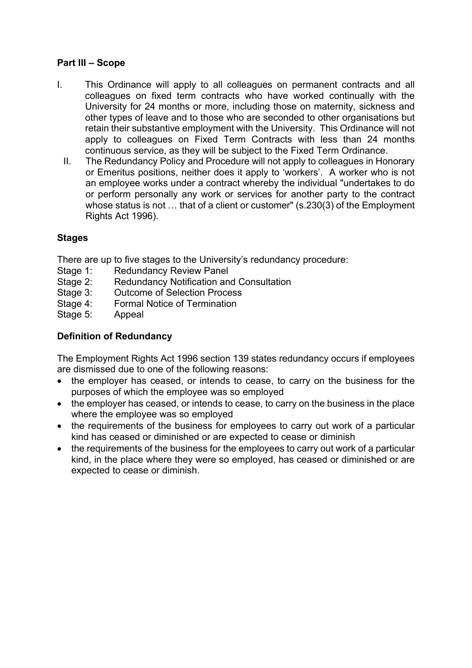#### **Part III – Scope**

- I. This Ordinance will apply to all colleagues on permanent contracts and all colleagues on fixed term contracts who have worked continually with the University for 24 months or more, including those on maternity, sickness and other types of leave and to those who are seconded to other organisations but retain their substantive employment with the University. This Ordinance will not apply to colleagues on Fixed Term Contracts with less than 24 months continuous service, as they will be subject to the Fixed Term Ordinance.
	- II. The Redundancy Policy and Procedure will not apply to colleagues in Honorary or Emeritus positions, neither does it apply to 'workers'. A worker who is not an employee works under a contract whereby the individual "undertakes to do or perform personally any work or services for another party to the contract whose status is not … that of a client or customer" (s.230(3) of the Employment Rights Act 1996).

## **Stages**

There are up to five stages to the University's redundancy procedure:

- Stage 1: Redundancy Review Panel
- Stage 2: Redundancy Notification and Consultation
- Stage 3: Outcome of Selection Process
- Stage 4: Formal Notice of Termination
- Stage 5: Appeal

## **Definition of Redundancy**

The Employment Rights Act 1996 section 139 states redundancy occurs if employees are dismissed due to one of the following reasons:

- the employer has ceased, or intends to cease, to carry on the business for the purposes of which the employee was so employed
- the employer has ceased, or intends to cease, to carry on the business in the place where the employee was so employed
- the requirements of the business for employees to carry out work of a particular kind has ceased or diminished or are expected to cease or diminish
- the requirements of the business for the employees to carry out work of a particular kind, in the place where they were so employed, has ceased or diminished or are expected to cease or diminish.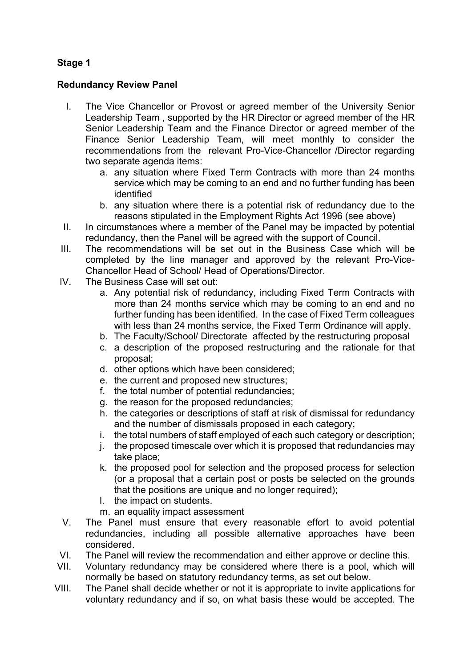# **Stage 1**

#### **Redundancy Review Panel**

- I. The Vice Chancellor or Provost or agreed member of the University Senior Leadership Team , supported by the HR Director or agreed member of the HR Senior Leadership Team and the Finance Director or agreed member of the Finance Senior Leadership Team, will meet monthly to consider the recommendations from the relevant Pro-Vice-Chancellor /Director regarding two separate agenda items:
	- a. any situation where Fixed Term Contracts with more than 24 months service which may be coming to an end and no further funding has been identified
	- b. any situation where there is a potential risk of redundancy due to the reasons stipulated in the Employment Rights Act 1996 (see above)
- II. In circumstances where a member of the Panel may be impacted by potential redundancy, then the Panel will be agreed with the support of Council.
- III. The recommendations will be set out in the Business Case which will be completed by the line manager and approved by the relevant Pro-Vice-Chancellor Head of School/ Head of Operations/Director.
- IV. The Business Case will set out:
	- a. Any potential risk of redundancy, including Fixed Term Contracts with more than 24 months service which may be coming to an end and no further funding has been identified. In the case of Fixed Term colleagues with less than 24 months service, the Fixed Term Ordinance will apply.
	- b. The Faculty/School/ Directorate affected by the restructuring proposal
	- c. a description of the proposed restructuring and the rationale for that proposal;
	- d. other options which have been considered;
	- e. the current and proposed new structures;
	- f. the total number of potential redundancies;
	- g. the reason for the proposed redundancies;
	- h. the categories or descriptions of staff at risk of dismissal for redundancy and the number of dismissals proposed in each category;
	- i. the total numbers of staff employed of each such category or description;
	- j. the proposed timescale over which it is proposed that redundancies may take place;
	- k. the proposed pool for selection and the proposed process for selection (or a proposal that a certain post or posts be selected on the grounds that the positions are unique and no longer required);
	- l. the impact on students.
	- m. an equality impact assessment
- V. The Panel must ensure that every reasonable effort to avoid potential redundancies, including all possible alternative approaches have been considered.
- VI. The Panel will review the recommendation and either approve or decline this.
- VII. Voluntary redundancy may be considered where there is a pool, which will normally be based on statutory redundancy terms, as set out below.
- VIII. The Panel shall decide whether or not it is appropriate to invite applications for voluntary redundancy and if so, on what basis these would be accepted. The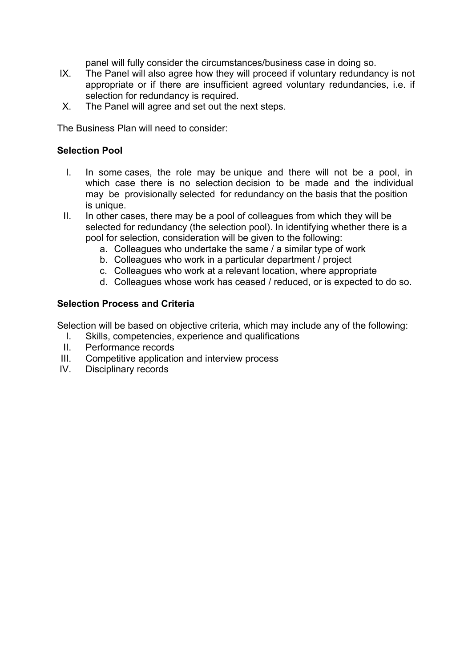panel will fully consider the circumstances/business case in doing so.

- IX. The Panel will also agree how they will proceed if voluntary redundancy is not appropriate or if there are insufficient agreed voluntary redundancies, i.e. if selection for redundancy is required.
- X. The Panel will agree and set out the next steps.

The Business Plan will need to consider:

#### **Selection Pool**

- I. In some cases, the role may be unique and there will not be a pool, in which case there is no selection decision to be made and the individual may be provisionally selected for redundancy on the basis that the position is unique.
- II. In other cases, there may be a pool of colleagues from which they will be selected for redundancy (the selection pool). In identifying whether there is a pool for selection, consideration will be given to the following:
	- a. Colleagues who undertake the same / a similar type of work
	- b. Colleagues who work in a particular department / project
	- c. Colleagues who work at a relevant location, where appropriate
	- d. Colleagues whose work has ceased / reduced, or is expected to do so.

#### **Selection Process and Criteria**

Selection will be based on objective criteria, which may include any of the following:

- I. Skills, competencies, experience and qualifications
- II. Performance records
- III. Competitive application and interview process<br>IV. Disciplinary records
- Disciplinary records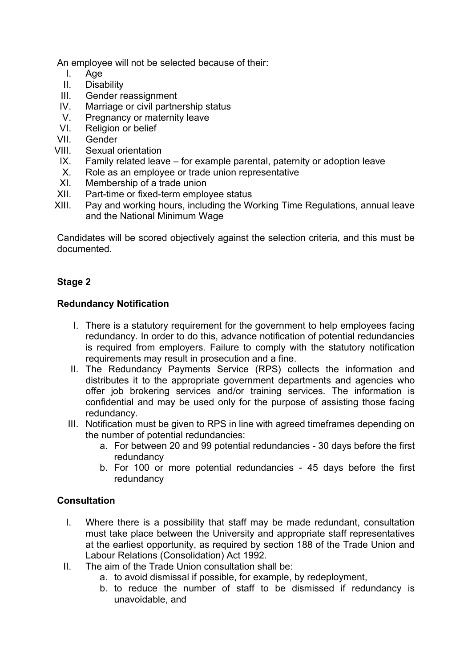An employee will not be selected because of their:

- I. Age<br>II Disa
- **Disability**
- III. Gender reassignment
- IV. Marriage or civil partnership status<br>V. Pregnancy or maternity leave
- V. Pregnancy or maternity leave<br>VI. Religion or belief
- Religion or belief
- VII. Gender
- VIII. Sexual orientation
- IX. Family related leave for example parental, paternity or adoption leave
- X. Role as an employee or trade union representative
- XI. Membership of a trade union
- XII. Part-time or fixed-term employee status
- XIII. Pay and working hours, including the Working Time Regulations, annual leave and the National Minimum Wage

Candidates will be scored objectively against the selection criteria, and this must be documented.

## **Stage 2**

#### **Redundancy Notification**

- I. There is a statutory requirement for the government to help employees facing redundancy. In order to do this, advance notification of potential redundancies is required from employers. Failure to comply with the statutory notification requirements may result in prosecution and a fine.
- II. The Redundancy Payments Service (RPS) collects the information and distributes it to the appropriate government departments and agencies who offer job brokering services and/or training services. The information is confidential and may be used only for the purpose of assisting those facing redundancy.
- III. Notification must be given to RPS in line with agreed timeframes depending on the number of potential redundancies:
	- a. For between 20 and 99 potential redundancies 30 days before the first redundancy
	- b. For 100 or more potential redundancies 45 days before the first redundancy

## **Consultation**

- I. Where there is a possibility that staff may be made redundant, consultation must take place between the University and appropriate staff representatives at the earliest opportunity, as required by section 188 of the Trade Union and Labour Relations (Consolidation) Act 1992.
- II. The aim of the Trade Union consultation shall be:
	- a. to avoid dismissal if possible, for example, by redeployment,
	- b. to reduce the number of staff to be dismissed if redundancy is unavoidable, and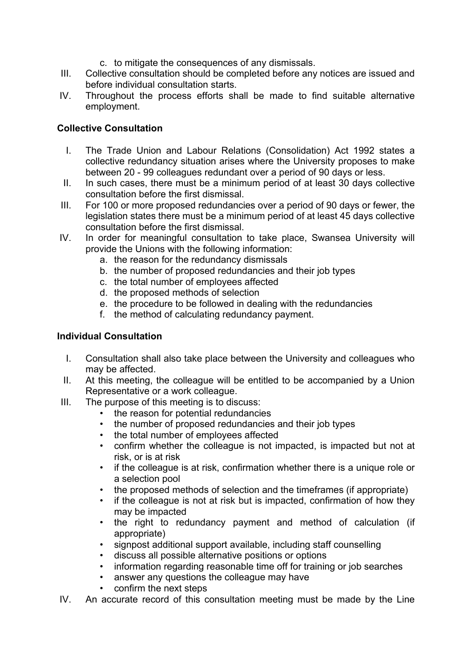- c. to mitigate the consequences of any dismissals.
- III. Collective consultation should be completed before any notices are issued and before individual consultation starts.
- IV. Throughout the process efforts shall be made to find suitable alternative employment.

## **Collective Consultation**

- I. The Trade Union and Labour Relations (Consolidation) Act 1992 states a collective redundancy situation arises where the University proposes to make between 20 - 99 colleagues redundant over a period of 90 days or less.
- II. In such cases, there must be a minimum period of at least 30 days collective consultation before the first dismissal.
- III. For 100 or more proposed redundancies over a period of 90 days or fewer, the legislation states there must be a minimum period of at least 45 days collective consultation before the first dismissal.
- IV. In order for meaningful consultation to take place, Swansea University will provide the Unions with the following information:
	- a. the reason for the redundancy dismissals
	- b. the number of proposed redundancies and their job types
	- c. the total number of employees affected
	- d. the proposed methods of selection
	- e. the procedure to be followed in dealing with the redundancies
	- f. the method of calculating redundancy payment.

#### **Individual Consultation**

- I. Consultation shall also take place between the University and colleagues who may be affected.
- II. At this meeting, the colleague will be entitled to be accompanied by a Union Representative or a work colleague.
- III. The purpose of this meeting is to discuss:
	- the reason for potential redundancies
	- the number of proposed redundancies and their job types
	- the total number of employees affected
	- confirm whether the colleague is not impacted, is impacted but not at risk, or is at risk
	- if the colleague is at risk, confirmation whether there is a unique role or a selection pool
	- the proposed methods of selection and the timeframes (if appropriate)
	- if the colleague is not at risk but is impacted, confirmation of how they may be impacted
	- the right to redundancy payment and method of calculation (if appropriate)
	- signpost additional support available, including staff counselling
	- discuss all possible alternative positions or options
	- information regarding reasonable time off for training or job searches
	- answer any questions the colleague may have
	- confirm the next steps
- IV. An accurate record of this consultation meeting must be made by the Line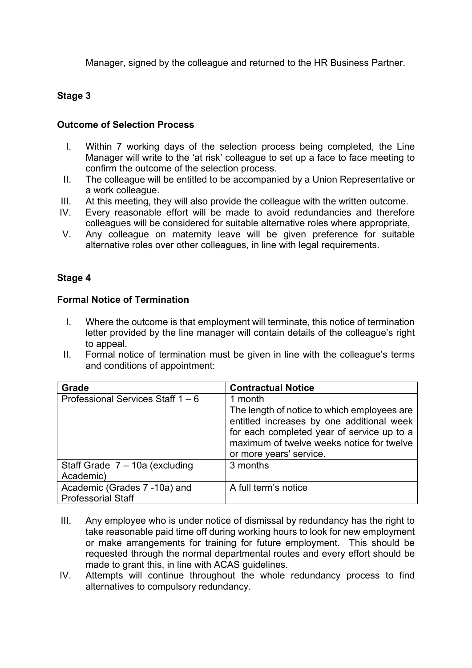Manager, signed by the colleague and returned to the HR Business Partner.

## **Stage 3**

#### **Outcome of Selection Process**

- I. Within 7 working days of the selection process being completed, the Line Manager will write to the 'at risk' colleague to set up a face to face meeting to confirm the outcome of the selection process*.*
- II. The colleague will be entitled to be accompanied by a Union Representative or a work colleague.
- III. At this meeting, they will also provide the colleague with the written outcome.
- IV. Every reasonable effort will be made to avoid redundancies and therefore colleagues will be considered for suitable alternative roles where appropriate,
- V. Any colleague on maternity leave will be given preference for suitable alternative roles over other colleagues, in line with legal requirements.

## **Stage 4**

#### **Formal Notice of Termination**

- I. Where the outcome is that employment will terminate, this notice of termination letter provided by the line manager will contain details of the colleague's right to appeal.
- II. Formal notice of termination must be given in line with the colleague's terms and conditions of appointment:

| Grade                                                     | <b>Contractual Notice</b>                                                                                                                                                                      |
|-----------------------------------------------------------|------------------------------------------------------------------------------------------------------------------------------------------------------------------------------------------------|
| Professional Services Staff $1 - 6$                       | 1 month<br>The length of notice to which employees are<br>entitled increases by one additional week<br>for each completed year of service up to a<br>maximum of twelve weeks notice for twelve |
|                                                           | or more years' service.                                                                                                                                                                        |
| Staff Grade $7 - 10a$ (excluding<br>Academic)             | 3 months                                                                                                                                                                                       |
| Academic (Grades 7 -10a) and<br><b>Professorial Staff</b> | A full term's notice                                                                                                                                                                           |

- III. Any employee who is under notice of dismissal by redundancy has the right to take reasonable paid time off during working hours to look for new employment or make arrangements for training for future employment. This should be requested through the normal departmental routes and every effort should be made to grant this, in line with ACAS guidelines.
- IV. Attempts will continue throughout the whole redundancy process to find alternatives to compulsory redundancy.